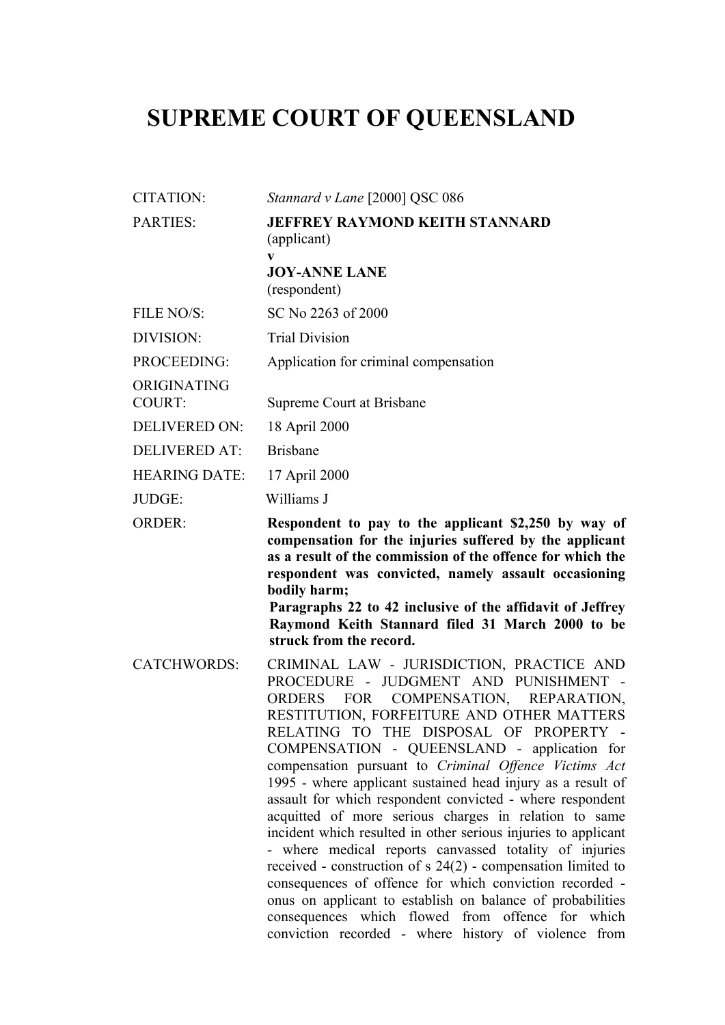## **SUPREME COURT OF QUEENSLAND**

| <b>CITATION:</b>             | Stannard v Lane [2000] QSC 086                                                                                                                                                                                                                                                                                                                                                                                                                                                                                                                                                                                                                                                                                                                                                                                                                                                                                                                                                       |
|------------------------------|--------------------------------------------------------------------------------------------------------------------------------------------------------------------------------------------------------------------------------------------------------------------------------------------------------------------------------------------------------------------------------------------------------------------------------------------------------------------------------------------------------------------------------------------------------------------------------------------------------------------------------------------------------------------------------------------------------------------------------------------------------------------------------------------------------------------------------------------------------------------------------------------------------------------------------------------------------------------------------------|
| PARTIES:                     | <b>JEFFREY RAYMOND KEITH STANNARD</b><br>(applicant)                                                                                                                                                                                                                                                                                                                                                                                                                                                                                                                                                                                                                                                                                                                                                                                                                                                                                                                                 |
|                              | V<br><b>JOY-ANNE LANE</b><br>(respondent)                                                                                                                                                                                                                                                                                                                                                                                                                                                                                                                                                                                                                                                                                                                                                                                                                                                                                                                                            |
| FILE NO/S:                   | SC No 2263 of 2000                                                                                                                                                                                                                                                                                                                                                                                                                                                                                                                                                                                                                                                                                                                                                                                                                                                                                                                                                                   |
| DIVISION:                    | <b>Trial Division</b>                                                                                                                                                                                                                                                                                                                                                                                                                                                                                                                                                                                                                                                                                                                                                                                                                                                                                                                                                                |
| PROCEEDING:                  | Application for criminal compensation                                                                                                                                                                                                                                                                                                                                                                                                                                                                                                                                                                                                                                                                                                                                                                                                                                                                                                                                                |
| ORIGINATING<br><b>COURT:</b> | Supreme Court at Brisbane                                                                                                                                                                                                                                                                                                                                                                                                                                                                                                                                                                                                                                                                                                                                                                                                                                                                                                                                                            |
| <b>DELIVERED ON:</b>         | 18 April 2000                                                                                                                                                                                                                                                                                                                                                                                                                                                                                                                                                                                                                                                                                                                                                                                                                                                                                                                                                                        |
| <b>DELIVERED AT:</b>         | <b>Brisbane</b>                                                                                                                                                                                                                                                                                                                                                                                                                                                                                                                                                                                                                                                                                                                                                                                                                                                                                                                                                                      |
| <b>HEARING DATE:</b>         | 17 April 2000                                                                                                                                                                                                                                                                                                                                                                                                                                                                                                                                                                                                                                                                                                                                                                                                                                                                                                                                                                        |
| JUDGE:                       | Williams J                                                                                                                                                                                                                                                                                                                                                                                                                                                                                                                                                                                                                                                                                                                                                                                                                                                                                                                                                                           |
| <b>ORDER:</b>                | Respondent to pay to the applicant \$2,250 by way of<br>compensation for the injuries suffered by the applicant<br>as a result of the commission of the offence for which the<br>respondent was convicted, namely assault occasioning<br>bodily harm;<br>Paragraphs 22 to 42 inclusive of the affidavit of Jeffrey<br>Raymond Keith Stannard filed 31 March 2000 to be<br>struck from the record.                                                                                                                                                                                                                                                                                                                                                                                                                                                                                                                                                                                    |
| <b>CATCHWORDS:</b>           | CRIMINAL LAW - JURISDICTION, PRACTICE AND<br>PROCEDURE - JUDGMENT AND PUNISHMENT<br>$\sim$ $-$<br><b>FOR</b><br>COMPENSATION,<br>REPARATION,<br><b>ORDERS</b><br>RESTITUTION, FORFEITURE AND OTHER MATTERS<br>RELATING TO THE DISPOSAL OF PROPERTY -<br>COMPENSATION - QUEENSLAND - application for<br>compensation pursuant to Criminal Offence Victims Act<br>1995 - where applicant sustained head injury as a result of<br>assault for which respondent convicted - where respondent<br>acquitted of more serious charges in relation to same<br>incident which resulted in other serious injuries to applicant<br>- where medical reports canvassed totality of injuries<br>received - construction of $s$ 24(2) - compensation limited to<br>consequences of offence for which conviction recorded -<br>onus on applicant to establish on balance of probabilities<br>consequences which flowed from offence for which<br>conviction recorded - where history of violence from |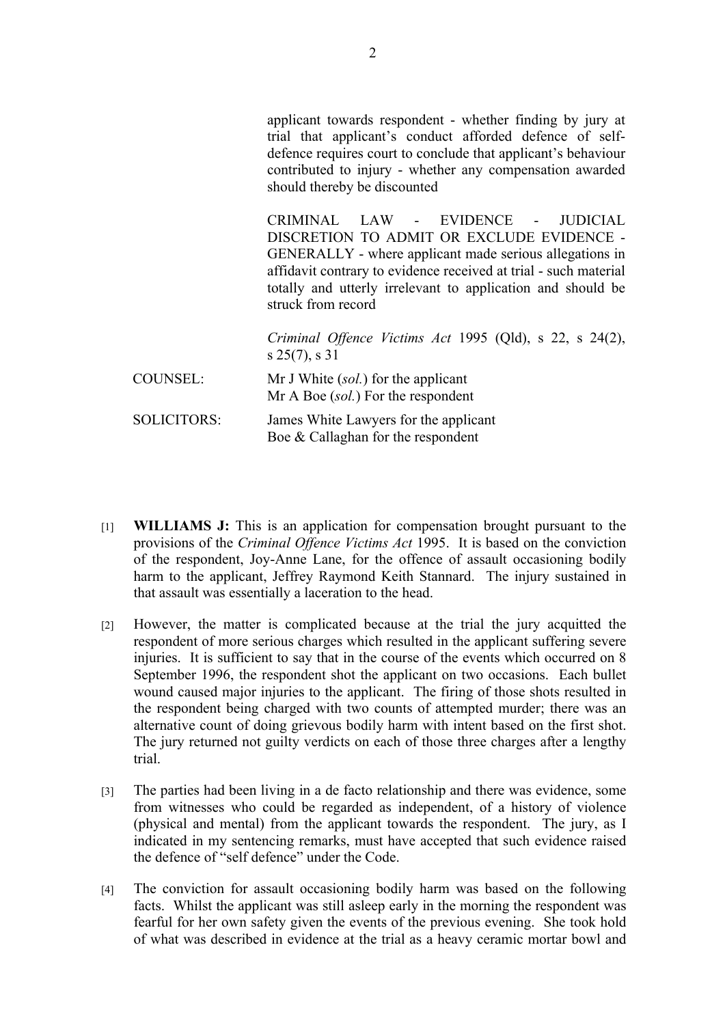applicant towards respondent - whether finding by jury at trial that applicant's conduct afforded defence of selfdefence requires court to conclude that applicant's behaviour contributed to injury - whether any compensation awarded should thereby be discounted

CRIMINAL LAW - EVIDENCE - JUDICIAL DISCRETION TO ADMIT OR EXCLUDE EVIDENCE - GENERALLY - where applicant made serious allegations in affidavit contrary to evidence received at trial - such material totally and utterly irrelevant to application and should be struck from record

*Criminal Offence Victims Act* 1995 (Qld), s 22, s 24(2), s 25(7), s 31

COUNSEL: Mr J White (*sol.*) for the applicant Mr A Boe (*sol.*) For the respondent

- SOLICITORS: James White Lawyers for the applicant Boe & Callaghan for the respondent
- [1] **WILLIAMS J:** This is an application for compensation brought pursuant to the provisions of the *Criminal Offence Victims Act* 1995. It is based on the conviction of the respondent, Joy-Anne Lane, for the offence of assault occasioning bodily harm to the applicant, Jeffrey Raymond Keith Stannard. The injury sustained in that assault was essentially a laceration to the head.
- [2] However, the matter is complicated because at the trial the jury acquitted the respondent of more serious charges which resulted in the applicant suffering severe injuries. It is sufficient to say that in the course of the events which occurred on 8 September 1996, the respondent shot the applicant on two occasions. Each bullet wound caused major injuries to the applicant. The firing of those shots resulted in the respondent being charged with two counts of attempted murder; there was an alternative count of doing grievous bodily harm with intent based on the first shot. The jury returned not guilty verdicts on each of those three charges after a lengthy trial.
- [3] The parties had been living in a de facto relationship and there was evidence, some from witnesses who could be regarded as independent, of a history of violence (physical and mental) from the applicant towards the respondent. The jury, as I indicated in my sentencing remarks, must have accepted that such evidence raised the defence of "self defence" under the Code.
- [4] The conviction for assault occasioning bodily harm was based on the following facts. Whilst the applicant was still asleep early in the morning the respondent was fearful for her own safety given the events of the previous evening. She took hold of what was described in evidence at the trial as a heavy ceramic mortar bowl and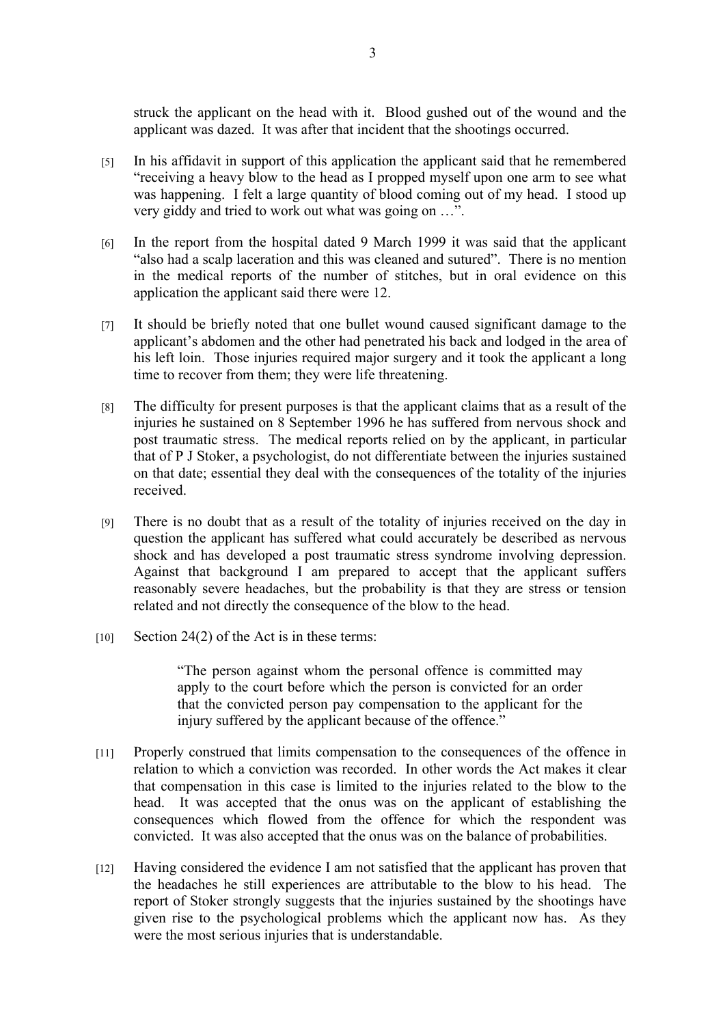struck the applicant on the head with it. Blood gushed out of the wound and the applicant was dazed. It was after that incident that the shootings occurred.

- [5] In his affidavit in support of this application the applicant said that he remembered "receiving a heavy blow to the head as I propped myself upon one arm to see what was happening. I felt a large quantity of blood coming out of my head. I stood up very giddy and tried to work out what was going on …".
- [6] In the report from the hospital dated 9 March 1999 it was said that the applicant "also had a scalp laceration and this was cleaned and sutured". There is no mention in the medical reports of the number of stitches, but in oral evidence on this application the applicant said there were 12.
- [7] It should be briefly noted that one bullet wound caused significant damage to the applicant's abdomen and the other had penetrated his back and lodged in the area of his left loin. Those injuries required major surgery and it took the applicant a long time to recover from them; they were life threatening.
- [8] The difficulty for present purposes is that the applicant claims that as a result of the injuries he sustained on 8 September 1996 he has suffered from nervous shock and post traumatic stress. The medical reports relied on by the applicant, in particular that of P J Stoker, a psychologist, do not differentiate between the injuries sustained on that date; essential they deal with the consequences of the totality of the injuries received.
- [9] There is no doubt that as a result of the totality of injuries received on the day in question the applicant has suffered what could accurately be described as nervous shock and has developed a post traumatic stress syndrome involving depression. Against that background I am prepared to accept that the applicant suffers reasonably severe headaches, but the probability is that they are stress or tension related and not directly the consequence of the blow to the head.
- $[10]$  Section 24(2) of the Act is in these terms:

"The person against whom the personal offence is committed may apply to the court before which the person is convicted for an order that the convicted person pay compensation to the applicant for the injury suffered by the applicant because of the offence."

- [11] Properly construed that limits compensation to the consequences of the offence in relation to which a conviction was recorded. In other words the Act makes it clear that compensation in this case is limited to the injuries related to the blow to the head. It was accepted that the onus was on the applicant of establishing the consequences which flowed from the offence for which the respondent was convicted. It was also accepted that the onus was on the balance of probabilities.
- [12] Having considered the evidence I am not satisfied that the applicant has proven that the headaches he still experiences are attributable to the blow to his head. The report of Stoker strongly suggests that the injuries sustained by the shootings have given rise to the psychological problems which the applicant now has. As they were the most serious injuries that is understandable.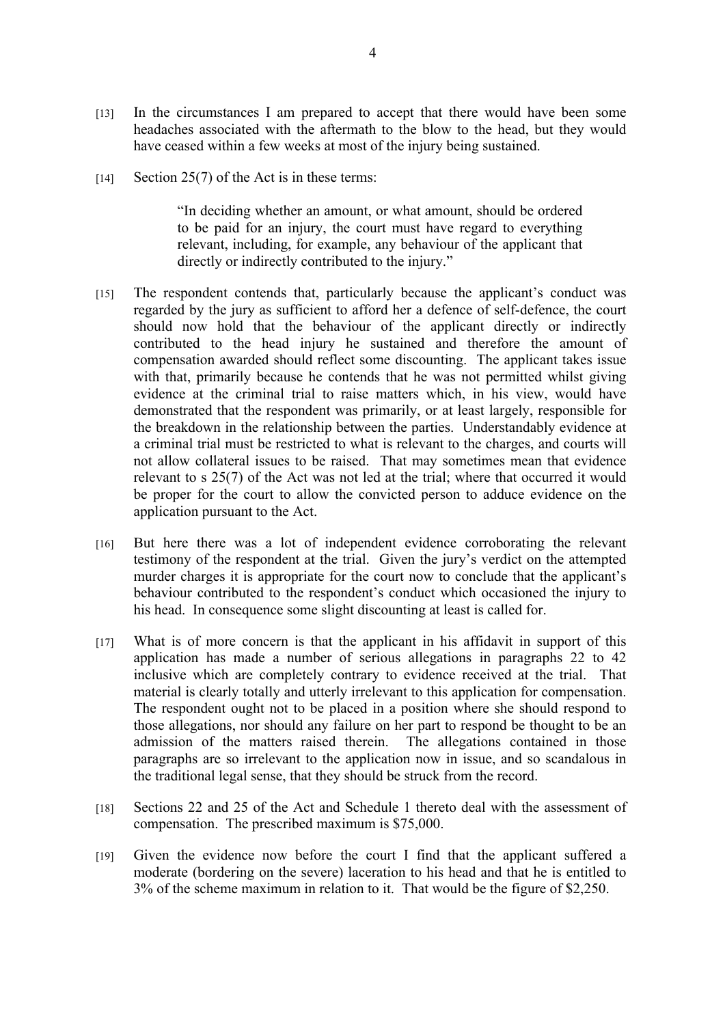- [13] In the circumstances I am prepared to accept that there would have been some headaches associated with the aftermath to the blow to the head, but they would have ceased within a few weeks at most of the injury being sustained.
- [14] Section 25(7) of the Act is in these terms:

"In deciding whether an amount, or what amount, should be ordered to be paid for an injury, the court must have regard to everything relevant, including, for example, any behaviour of the applicant that directly or indirectly contributed to the injury."

- [15] The respondent contends that, particularly because the applicant's conduct was regarded by the jury as sufficient to afford her a defence of self-defence, the court should now hold that the behaviour of the applicant directly or indirectly contributed to the head injury he sustained and therefore the amount of compensation awarded should reflect some discounting. The applicant takes issue with that, primarily because he contends that he was not permitted whilst giving evidence at the criminal trial to raise matters which, in his view, would have demonstrated that the respondent was primarily, or at least largely, responsible for the breakdown in the relationship between the parties. Understandably evidence at a criminal trial must be restricted to what is relevant to the charges, and courts will not allow collateral issues to be raised. That may sometimes mean that evidence relevant to s 25(7) of the Act was not led at the trial; where that occurred it would be proper for the court to allow the convicted person to adduce evidence on the application pursuant to the Act.
- [16] But here there was a lot of independent evidence corroborating the relevant testimony of the respondent at the trial. Given the jury's verdict on the attempted murder charges it is appropriate for the court now to conclude that the applicant's behaviour contributed to the respondent's conduct which occasioned the injury to his head. In consequence some slight discounting at least is called for.
- [17] What is of more concern is that the applicant in his affidavit in support of this application has made a number of serious allegations in paragraphs 22 to 42 inclusive which are completely contrary to evidence received at the trial. That material is clearly totally and utterly irrelevant to this application for compensation. The respondent ought not to be placed in a position where she should respond to those allegations, nor should any failure on her part to respond be thought to be an admission of the matters raised therein. The allegations contained in those paragraphs are so irrelevant to the application now in issue, and so scandalous in the traditional legal sense, that they should be struck from the record.
- [18] Sections 22 and 25 of the Act and Schedule 1 thereto deal with the assessment of compensation. The prescribed maximum is \$75,000.
- [19] Given the evidence now before the court I find that the applicant suffered a moderate (bordering on the severe) laceration to his head and that he is entitled to 3% of the scheme maximum in relation to it. That would be the figure of \$2,250.